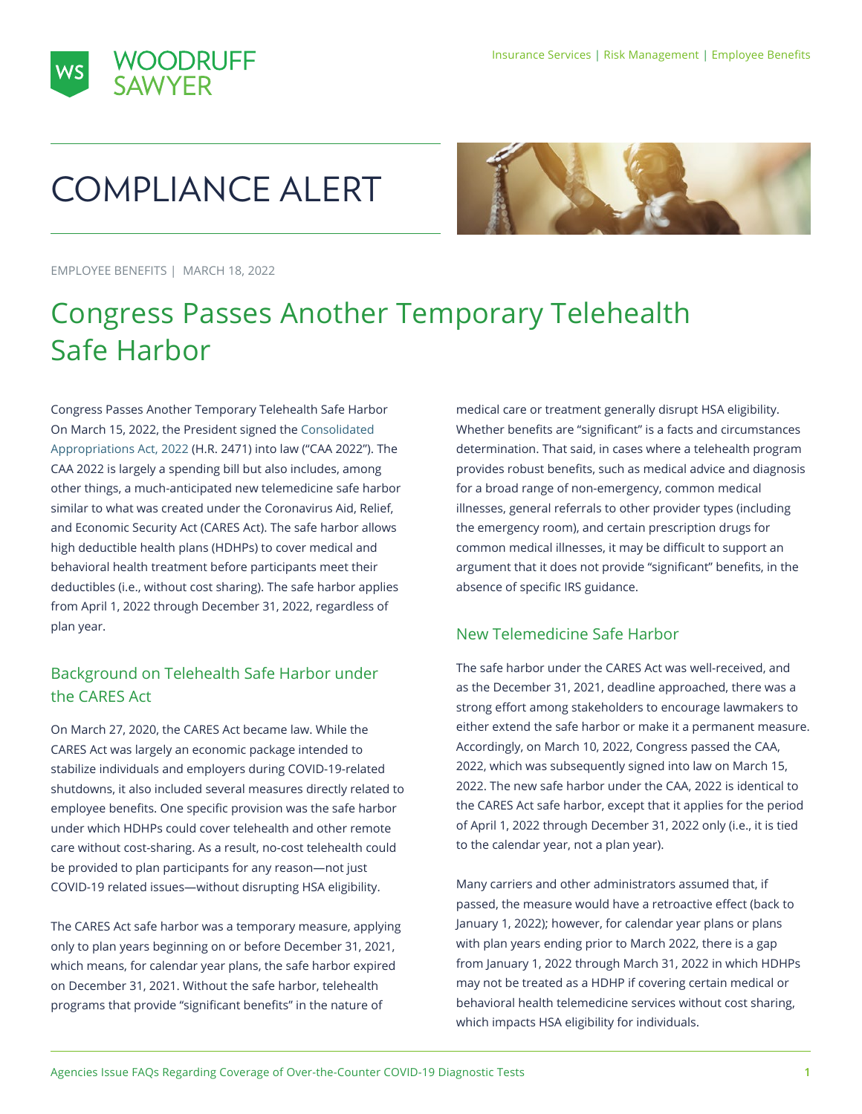

# COMPLIANCE ALERT



EMPLOYEE BENEFITS | MARCH 18, 2022

## Congress Passes Another Temporary Telehealth Safe Harbor

Congress Passes Another Temporary Telehealth Safe Harbor On March 15, 2022, the President signed the [Consolidated](https://www.congress.gov/bill/117th-congress/house-bill/2471/text)  [Appropriations Act, 2022](https://www.congress.gov/bill/117th-congress/house-bill/2471/text) (H.R. 2471) into law ("CAA 2022"). The CAA 2022 is largely a spending bill but also includes, among other things, a much-anticipated new telemedicine safe harbor similar to what was created under the Coronavirus Aid, Relief, and Economic Security Act (CARES Act). The safe harbor allows high deductible health plans (HDHPs) to cover medical and behavioral health treatment before participants meet their deductibles (i.e., without cost sharing). The safe harbor applies from April 1, 2022 through December 31, 2022, regardless of plan year.

### Background on Telehealth Safe Harbor under the CARES Act

On March 27, 2020, the CARES Act became law. While the CARES Act was largely an economic package intended to stabilize individuals and employers during COVID-19-related shutdowns, it also included several measures directly related to employee benefits. One specific provision was the safe harbor under which HDHPs could cover telehealth and other remote care without cost-sharing. As a result, no-cost telehealth could be provided to plan participants for any reason—not just COVID-19 related issues—without disrupting HSA eligibility.

The CARES Act safe harbor was a temporary measure, applying only to plan years beginning on or before December 31, 2021, which means, for calendar year plans, the safe harbor expired on December 31, 2021. Without the safe harbor, telehealth programs that provide "significant benefits" in the nature of

medical care or treatment generally disrupt HSA eligibility. Whether benefits are "significant" is a facts and circumstances determination. That said, in cases where a telehealth program provides robust benefits, such as medical advice and diagnosis for a broad range of non-emergency, common medical illnesses, general referrals to other provider types (including the emergency room), and certain prescription drugs for common medical illnesses, it may be difficult to support an argument that it does not provide "significant" benefits, in the absence of specific IRS guidance.

### New Telemedicine Safe Harbor

The safe harbor under the CARES Act was well-received, and as the December 31, 2021, deadline approached, there was a strong effort among stakeholders to encourage lawmakers to either extend the safe harbor or make it a permanent measure. Accordingly, on March 10, 2022, Congress passed the CAA, 2022, which was subsequently signed into law on March 15, 2022. The new safe harbor under the CAA, 2022 is identical to the CARES Act safe harbor, except that it applies for the period of April 1, 2022 through December 31, 2022 only (i.e., it is tied to the calendar year, not a plan year).

Many carriers and other administrators assumed that, if passed, the measure would have a retroactive effect (back to January 1, 2022); however, for calendar year plans or plans with plan years ending prior to March 2022, there is a gap from January 1, 2022 through March 31, 2022 in which HDHPs may not be treated as a HDHP if covering certain medical or behavioral health telemedicine services without cost sharing, which impacts HSA eligibility for individuals.